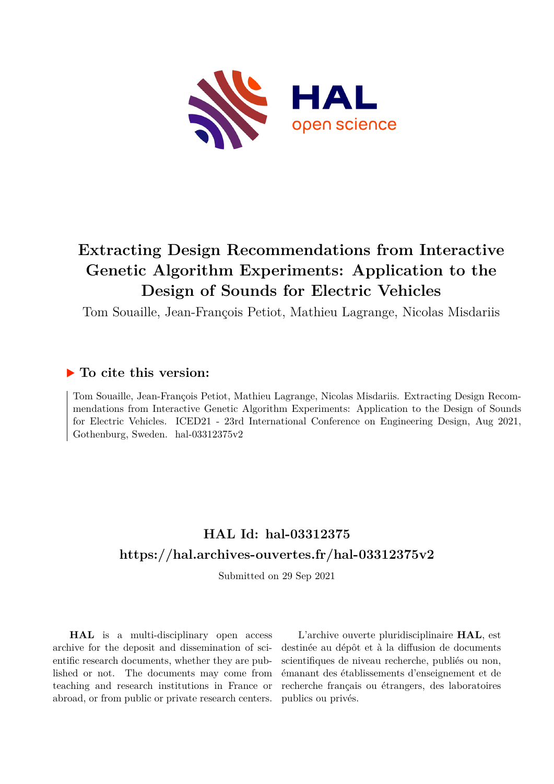

# **Extracting Design Recommendations from Interactive Genetic Algorithm Experiments: Application to the Design of Sounds for Electric Vehicles**

Tom Souaille, Jean-François Petiot, Mathieu Lagrange, Nicolas Misdariis

# **To cite this version:**

Tom Souaille, Jean-François Petiot, Mathieu Lagrange, Nicolas Misdariis. Extracting Design Recommendations from Interactive Genetic Algorithm Experiments: Application to the Design of Sounds for Electric Vehicles. ICED21 - 23rd International Conference on Engineering Design, Aug 2021, Gothenburg, Sweden. hal-03312375 $v2$ 

# **HAL Id: hal-03312375 <https://hal.archives-ouvertes.fr/hal-03312375v2>**

Submitted on 29 Sep 2021

**HAL** is a multi-disciplinary open access archive for the deposit and dissemination of scientific research documents, whether they are published or not. The documents may come from teaching and research institutions in France or abroad, or from public or private research centers.

L'archive ouverte pluridisciplinaire **HAL**, est destinée au dépôt et à la diffusion de documents scientifiques de niveau recherche, publiés ou non, émanant des établissements d'enseignement et de recherche français ou étrangers, des laboratoires publics ou privés.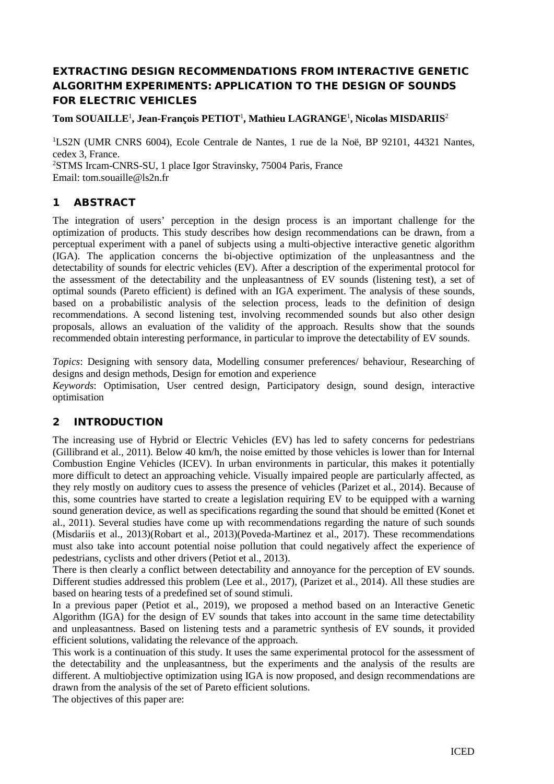# EXTRACTING DESIGN RECOMMENDATIONS FROM INTERACTIVE GENETIC ALGORITHM EXPERIMENTS: APPLICATION TO THE DESIGN OF SOUNDS FOR ELECTRIC VEHICLES

# **Tom SOUAILLE**<sup>1</sup> **, Jean-François PETIOT**<sup>1</sup> **, Mathieu LAGRANGE**<sup>1</sup> **, Nicolas MISDARIIS**<sup>2</sup>

1 LS2N (UMR CNRS 6004), Ecole Centrale de Nantes, 1 rue de la Noë, BP 92101, 44321 Nantes, cedex 3, France. 2 STMS Ircam-CNRS-SU, 1 place Igor Stravinsky, 75004 Paris, France Email: tom.souaille@ls2n.fr

# 1 ABSTRACT

The integration of users' perception in the design process is an important challenge for the optimization of products. This study describes how design recommendations can be drawn, from a perceptual experiment with a panel of subjects using a multi-objective interactive genetic algorithm (IGA). The application concerns the bi-objective optimization of the unpleasantness and the detectability of sounds for electric vehicles (EV). After a description of the experimental protocol for the assessment of the detectability and the unpleasantness of EV sounds (listening test), a set of optimal sounds (Pareto efficient) is defined with an IGA experiment. The analysis of these sounds, based on a probabilistic analysis of the selection process, leads to the definition of design recommendations. A second listening test, involving recommended sounds but also other design proposals, allows an evaluation of the validity of the approach. Results show that the sounds recommended obtain interesting performance, in particular to improve the detectability of EV sounds.

*Topics*: Designing with sensory data, Modelling consumer preferences/ behaviour, Researching of designs and design methods, Design for emotion and experience

*Keywords*: Optimisation, User centred design, Participatory design, sound design, interactive optimisation

# 2 INTRODUCTION

The increasing use of Hybrid or Electric Vehicles (EV) has led to safety concerns for pedestrians (Gillibrand et al., 2011). Below 40 km/h, the noise emitted by those vehicles is lower than for Internal Combustion Engine Vehicles (ICEV). In urban environments in particular, this makes it potentially more difficult to detect an approaching vehicle. Visually impaired people are particularly affected, as they rely mostly on auditory cues to assess the presence of vehicles (Parizet et al., 2014). Because of this, some countries have started to create a legislation requiring EV to be equipped with a warning sound generation device, as well as specifications regarding the sound that should be emitted (Konet et al., 2011). Several studies have come up with recommendations regarding the nature of such sounds (Misdariis et al., 2013)(Robart et al., 2013)(Poveda-Martinez et al., 2017). These recommendations must also take into account potential noise pollution that could negatively affect the experience of pedestrians, cyclists and other drivers (Petiot et al., 2013).

There is then clearly a conflict between detectability and annoyance for the perception of EV sounds. Different studies addressed this problem (Lee et al., 2017), (Parizet et al., 2014). All these studies are based on hearing tests of a predefined set of sound stimuli.

In a previous paper (Petiot et al., 2019), we proposed a method based on an Interactive Genetic Algorithm (IGA) for the design of EV sounds that takes into account in the same time detectability and unpleasantness. Based on listening tests and a parametric synthesis of EV sounds, it provided efficient solutions, validating the relevance of the approach.

This work is a continuation of this study. It uses the same experimental protocol for the assessment of the detectability and the unpleasantness, but the experiments and the analysis of the results are different. A multiobjective optimization using IGA is now proposed, and design recommendations are drawn from the analysis of the set of Pareto efficient solutions.

The objectives of this paper are: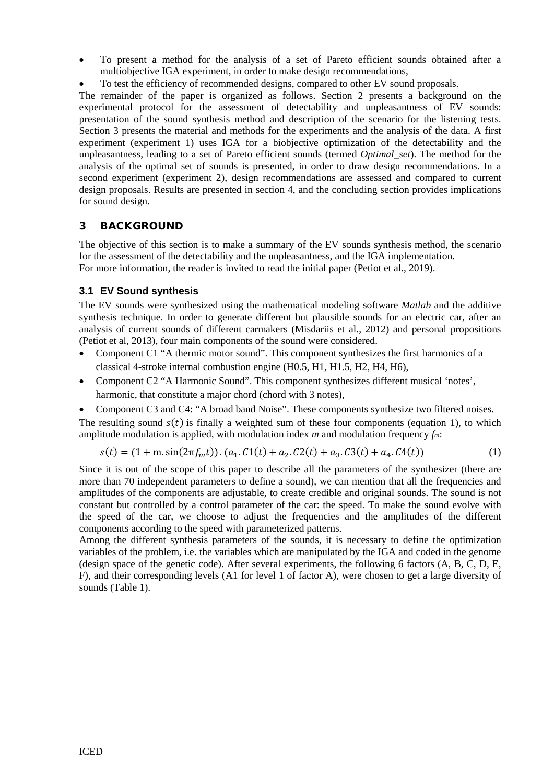- To present a method for the analysis of a set of Pareto efficient sounds obtained after a multiobjective IGA experiment, in order to make design recommendations,
- To test the efficiency of recommended designs, compared to other EV sound proposals.

The remainder of the paper is organized as follows. Section 2 presents a background on the experimental protocol for the assessment of detectability and unpleasantness of EV sounds: presentation of the sound synthesis method and description of the scenario for the listening tests. Section 3 presents the material and methods for the experiments and the analysis of the data. A first experiment (experiment 1) uses IGA for a biobjective optimization of the detectability and the unpleasantness, leading to a set of Pareto efficient sounds (termed *Optimal\_set*). The method for the analysis of the optimal set of sounds is presented, in order to draw design recommendations. In a second experiment (experiment 2), design recommendations are assessed and compared to current design proposals. Results are presented in section 4, and the concluding section provides implications for sound design.

# 3 BACKGROUND

The objective of this section is to make a summary of the EV sounds synthesis method, the scenario for the assessment of the detectability and the unpleasantness, and the IGA implementation. For more information, the reader is invited to read the initial paper (Petiot et al., 2019).

## **3.1 EV Sound synthesis**

The EV sounds were synthesized using the mathematical modeling software *Matlab* and the additive synthesis technique. In order to generate different but plausible sounds for an electric car, after an analysis of current sounds of different carmakers (Misdariis et al., 2012) and personal propositions (Petiot et al, 2013), four main components of the sound were considered.

- Component C1 "A thermic motor sound". This component synthesizes the first harmonics of a classical 4-stroke internal combustion engine (H0.5, H1, H1.5, H2, H4, H6),
- Component C2 "A Harmonic Sound". This component synthesizes different musical 'notes', harmonic, that constitute a major chord (chord with 3 notes),
- Component C3 and C4: "A broad band Noise". These components synthesize two filtered noises.

The resulting sound  $s(t)$  is finally a weighted sum of these four components (equation 1), to which amplitude modulation is applied, with modulation index *m* and modulation frequency *fm*:

$$
s(t) = (1 + m \sin(2\pi f_m t)). (a_1. C1(t) + a_2. C2(t) + a_3. C3(t) + a_4. C4(t))
$$
\n(1)

Since it is out of the scope of this paper to describe all the parameters of the synthesizer (there are more than 70 independent parameters to define a sound), we can mention that all the frequencies and amplitudes of the components are adjustable, to create credible and original sounds. The sound is not constant but controlled by a control parameter of the car: the speed. To make the sound evolve with the speed of the car, we choose to adjust the frequencies and the amplitudes of the different components according to the speed with parameterized patterns.

Among the different synthesis parameters of the sounds, it is necessary to define the optimization variables of the problem, i.e. the variables which are manipulated by the IGA and coded in the genome (design space of the genetic code). After several experiments, the following 6 factors (A, B, C, D, E, F), and their corresponding levels (A1 for level 1 of factor A), were chosen to get a large diversity of sounds (Table 1).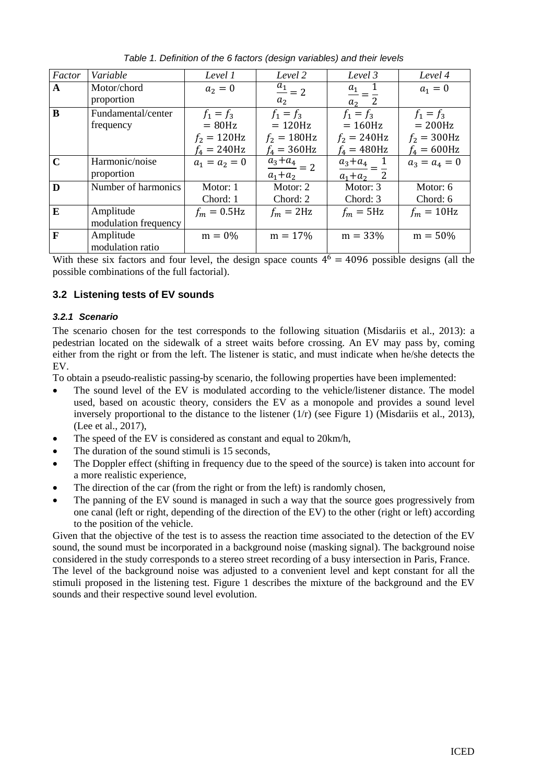| Factor      | Variable             | Level 1         | Level 2                   | Level 3         | Level 4         |
|-------------|----------------------|-----------------|---------------------------|-----------------|-----------------|
| A           | Motor/chord          | $a_2 = 0$       | $\frac{a_1}{a_2} = 2$     | $a_1$           | $a_1 = 0$       |
|             | proportion           |                 | $a_2$                     | $a_2$ 2         |                 |
| $\bf{B}$    | Fundamental/center   | $f_1 = f_3$     | $f_1 = f_3$               | $f_1 = f_3$     | $f_1 = f_3$     |
|             | frequency            | $= 80$ Hz       | $= 120$ Hz                | $= 160$ Hz      | $= 200$ Hz      |
|             |                      | $f_2 = 120$ Hz  | $f_2 = 180$ Hz            | $f_2 = 240$ Hz  | $f_2 = 300$ Hz  |
|             |                      | $f_4 = 240$ Hz  | $f_4 = 360$ Hz            | $f_4 = 480$ Hz  | $f_4 = 600$ Hz  |
| $\mathbf C$ | Harmonic/noise       | $a_1 = a_2 = 0$ | $\frac{a_3+a_4}{a_3} = 2$ | $a_3 + a_4$     | $a_3 = a_4 = 0$ |
|             | proportion           |                 | $a_1 + a_2$               | $a_1 + a_2 = 2$ |                 |
| D           | Number of harmonics  | Motor: 1        | Motor: 2                  | Motor: 3        | Motor: 6        |
|             |                      | Chord: 1        | Chord: 2                  | Chord: 3        | Chord: 6        |
| E           | Amplitude            | $f_m = 0.5$ Hz  | $f_m = 2Hz$               | $f_m = 5$ Hz    | $f_m = 10$ Hz   |
|             | modulation frequency |                 |                           |                 |                 |
| F           | Amplitude            | $m = 0%$        | $m = 17%$                 | $m = 33%$       | $m = 50\%$      |
|             | modulation ratio     |                 |                           |                 |                 |

*Table 1. Definition of the 6 factors (design variables) and their levels*

With these six factors and four level, the design space counts  $4^6 = 4096$  possible designs (all the possible combinations of the full factorial).

# **3.2 Listening tests of EV sounds**

## *3.2.1 Scenario*

The scenario chosen for the test corresponds to the following situation (Misdariis et al., 2013): a pedestrian located on the sidewalk of a street waits before crossing. An EV may pass by, coming either from the right or from the left. The listener is static, and must indicate when he/she detects the EV.

To obtain a pseudo-realistic passing-by scenario, the following properties have been implemented:

- The sound level of the EV is modulated according to the vehicle/listener distance. The model used, based on acoustic theory, considers the EV as a monopole and provides a sound level inversely proportional to the distance to the listener (1/r) (see Figure 1) (Misdariis et al., 2013), (Lee et al., 2017),
- The speed of the EV is considered as constant and equal to 20 km/h,
- The duration of the sound stimuli is 15 seconds,
- The Doppler effect (shifting in frequency due to the speed of the source) is taken into account for a more realistic experience,
- The direction of the car (from the right or from the left) is randomly chosen,
- The panning of the EV sound is managed in such a way that the source goes progressively from one canal (left or right, depending of the direction of the EV) to the other (right or left) according to the position of the vehicle.

Given that the objective of the test is to assess the reaction time associated to the detection of the EV sound, the sound must be incorporated in a background noise (masking signal). The background noise considered in the study corresponds to a stereo street recording of a busy intersection in Paris, France.

The level of the background noise was adjusted to a convenient level and kept constant for all the stimuli proposed in the listening test. Figure 1 describes the mixture of the background and the EV sounds and their respective sound level evolution.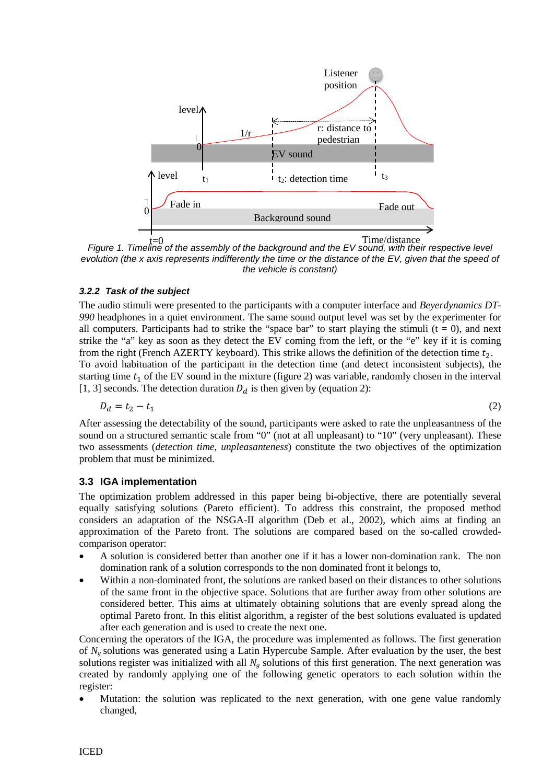

*f*=0<br>*Figure 1. Timeline of the assembly of the background and the EV sound, with their respective level evolution (the x axis represents indifferently the time or the distance of the EV, given that the speed of the vehicle is constant)*

## *3.2.2 Task of the subject*

The audio stimuli were presented to the participants with a computer interface and *Beyerdynamics DT-990* headphones in a quiet environment. The same sound output level was set by the experimenter for all computers. Participants had to strike the "space bar" to start playing the stimuli  $(t = 0)$ , and next strike the "a" key as soon as they detect the EV coming from the left, or the "e" key if it is coming from the right (French AZERTY keyboard). This strike allows the definition of the detection time  $t_2$ .

To avoid habituation of the participant in the detection time (and detect inconsistent subjects), the starting time  $t_1$  of the EV sound in the mixture (figure 2) was variable, randomly chosen in the interval [1, 3] seconds. The detection duration  $D_d$  is then given by (equation 2):

$$
D_d = t_2 - t_1 \tag{2}
$$

After assessing the detectability of the sound, participants were asked to rate the unpleasantness of the sound on a structured semantic scale from "0" (not at all unpleasant) to "10" (very unpleasant). These two assessments (*detection time*, *unpleasanteness*) constitute the two objectives of the optimization problem that must be minimized.

## **3.3 IGA implementation**

The optimization problem addressed in this paper being bi-objective, there are potentially several equally satisfying solutions (Pareto efficient). To address this constraint, the proposed method considers an adaptation of the NSGA-II algorithm (Deb et al., 2002), which aims at finding an approximation of the Pareto front. The solutions are compared based on the so-called crowdedcomparison operator:

- A solution is considered better than another one if it has a lower non-domination rank. The non domination rank of a solution corresponds to the non dominated front it belongs to,
- Within a non-dominated front, the solutions are ranked based on their distances to other solutions of the same front in the objective space. Solutions that are further away from other solutions are considered better. This aims at ultimately obtaining solutions that are evenly spread along the optimal Pareto front. In this elitist algorithm, a register of the best solutions evaluated is updated after each generation and is used to create the next one.

Concerning the operators of the IGA, the procedure was implemented as follows. The first generation of *Ng* solutions was generated using a Latin Hypercube Sample. After evaluation by the user, the best solutions register was initialized with all  $N<sub>g</sub>$  solutions of this first generation. The next generation was created by randomly applying one of the following genetic operators to each solution within the register:

Mutation: the solution was replicated to the next generation, with one gene value randomly changed,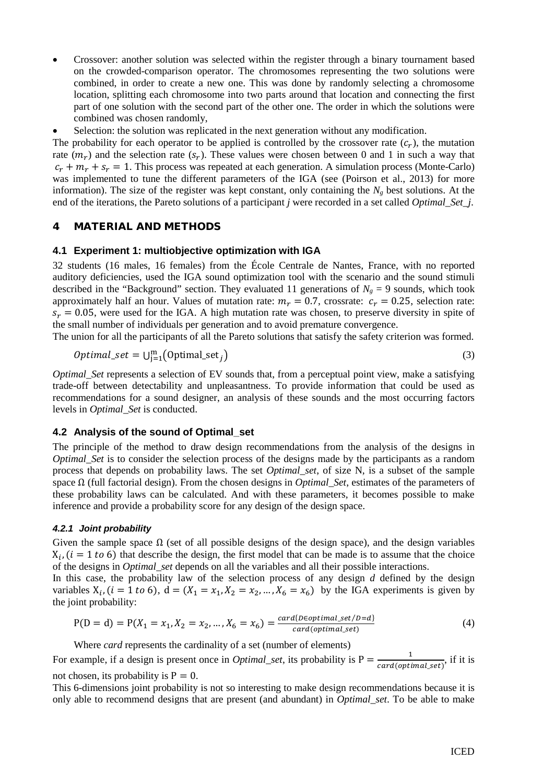• Crossover: another solution was selected within the register through a binary tournament based on the crowded-comparison operator. The chromosomes representing the two solutions were combined, in order to create a new one. This was done by randomly selecting a chromosome location, splitting each chromosome into two parts around that location and connecting the first part of one solution with the second part of the other one. The order in which the solutions were combined was chosen randomly,

Selection: the solution was replicated in the next generation without any modification.

The probability for each operator to be applied is controlled by the crossover rate  $(c_r)$ , the mutation rate  $(m_r)$  and the selection rate  $(s_r)$ . These values were chosen between 0 and 1 in such a way that  $c_r + m_r + s_r = 1$ . This process was repeated at each generation. A simulation process (Monte-Carlo) was implemented to tune the different parameters of the IGA (see (Poirson et al., 2013) for more information). The size of the register was kept constant, only containing the  $N_g$  best solutions. At the end of the iterations, the Pareto solutions of a participant *j* were recorded in a set called *Optimal\_Set\_j*.

## 4 MATERIAL AND METHODS

#### **4.1 Experiment 1: multiobjective optimization with IGA**

32 students (16 males, 16 females) from the École Centrale de Nantes, France, with no reported auditory deficiencies, used the IGA sound optimization tool with the scenario and the sound stimuli described in the "Background" section. They evaluated 11 generations of  $N_g = 9$  sounds, which took approximately half an hour. Values of mutation rate:  $m_r = 0.7$ , crossrate:  $c_r = 0.25$ , selection rate:  $s_r = 0.05$ , were used for the IGA. A high mutation rate was chosen, to preserve diversity in spite of the small number of individuals per generation and to avoid premature convergence.

The union for all the participants of all the Pareto solutions that satisfy the safety criterion was formed.

$$
Optimal\_set = \bigcup_{j=1}^{m} (\text{Optimal\_set}_j) \tag{3}
$$

*Optimal\_Set* represents a selection of EV sounds that, from a perceptual point view, make a satisfying trade-off between detectability and unpleasantness. To provide information that could be used as recommendations for a sound designer, an analysis of these sounds and the most occurring factors levels in *Optimal\_Set* is conducted.

#### **4.2 Analysis of the sound of Optimal\_set**

The principle of the method to draw design recommendations from the analysis of the designs in *Optimal\_Set* is to consider the selection process of the designs made by the participants as a random process that depends on probability laws. The set *Optimal\_set*, of size N, is a subset of the sample space Ω (full factorial design). From the chosen designs in *Optimal\_Set*, estimates of the parameters of these probability laws can be calculated. And with these parameters, it becomes possible to make inference and provide a probability score for any design of the design space.

#### *4.2.1 Joint probability*

Given the sample space  $\Omega$  (set of all possible designs of the design space), and the design variables  $X_i$ ,  $(i = 1 to 6)$  that describe the design, the first model that can be made is to assume that the choice of the designs in *Optimal\_set* depends on all the variables and all their possible interactions.

In this case, the probability law of the selection process of any design *d* defined by the design variables  $X_i$ , ( $i = 1$  to 6),  $d = (X_1 = x_1, X_2 = x_2, ..., X_6 = x_6)$  by the IGA experiments is given by the joint probability:

$$
P(D = d) = P(X_1 = x_1, X_2 = x_2, ..., X_6 = x_6) = \frac{card\{Deoptimal_set/D = d\}}{card(optimal_set)}
$$
(4)

Where *card* represents the cardinality of a set (number of elements)

For example, if a design is present once in *Optimal\_set*, its probability is  $P = \frac{1}{card(optimal_set)}$ , if it is not chosen, its probability is  $P = 0$ .

This 6-dimensions joint probability is not so interesting to make design recommendations because it is only able to recommend designs that are present (and abundant) in *Optimal\_set*. To be able to make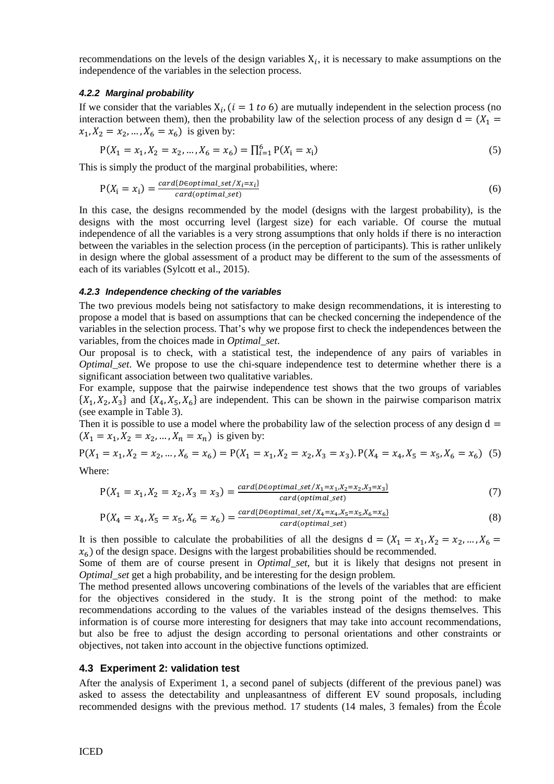recommendations on the levels of the design variables  $X_i$ , it is necessary to make assumptions on the independence of the variables in the selection process.

#### *4.2.2 Marginal probability*

If we consider that the variables  $X_i$ , ( $i = 1 \text{ to } 6$ ) are mutually independent in the selection process (no interaction between them), then the probability law of the selection process of any design  $d = (X_1 =$  $x_1, X_2 = x_2, ..., X_6 = x_6$  is given by:

$$
P(X_1 = x_1, X_2 = x_2, ..., X_6 = x_6) = \prod_{i=1}^{6} P(X_i = x_i)
$$
\n(5)

This is simply the product of the marginal probabilities, where:

$$
P(X_i = x_i) = \frac{card\{Deoptimal\_set/X_i = x_i\}}{card(optimal\_set)}
$$
(6)

In this case, the designs recommended by the model (designs with the largest probability), is the designs with the most occurring level (largest size) for each variable. Of course the mutual independence of all the variables is a very strong assumptions that only holds if there is no interaction between the variables in the selection process (in the perception of participants). This is rather unlikely in design where the global assessment of a product may be different to the sum of the assessments of each of its variables (Sylcott et al., 2015).

#### *4.2.3 Independence checking of the variables*

The two previous models being not satisfactory to make design recommendations, it is interesting to propose a model that is based on assumptions that can be checked concerning the independence of the variables in the selection process. That's why we propose first to check the independences between the variables, from the choices made in *Optimal\_set*.

Our proposal is to check, with a statistical test, the independence of any pairs of variables in *Optimal set*. We propose to use the chi-square independence test to determine whether there is a significant association between two qualitative variables.

For example, suppose that the pairwise independence test shows that the two groups of variables  $\{X_1, X_2, X_3\}$  and  $\{X_4, X_5, X_6\}$  are independent. This can be shown in the pairwise comparison matrix (see example in Table 3).

Then it is possible to use a model where the probability law of the selection process of any design  $d =$  $(X_1 = x_1, X_2 = x_2, ..., X_n = x_n)$  is given by:

$$
P(X_1 = x_1, X_2 = x_2, ..., X_6 = x_6) = P(X_1 = x_1, X_2 = x_2, X_3 = x_3). P(X_4 = x_4, X_5 = x_5, X_6 = x_6) \tag{5}
$$

Where:

$$
P(X_1 = x_1, X_2 = x_2, X_3 = x_3) = \frac{card\{Deoptimal_set / X_1 = x_1, X_2 = x_2, X_3 = x_3\}}{card(\text{optimal_set})}
$$
(7)

$$
P(X_4 = x_4, X_5 = x_5, X_6 = x_6) = \frac{card\{p\in optimal\_set/X_4 = x_4, X_5 = x_5, X_6 = x_6\}}{card(optimal\_set)}
$$
(8)

It is then possible to calculate the probabilities of all the designs  $d = (X_1 = x_1, X_2 = x_2, ..., X_6 =$  $x<sub>6</sub>$ ) of the design space. Designs with the largest probabilities should be recommended.

Some of them are of course present in *Optimal\_set*, but it is likely that designs not present in *Optimal\_set* get a high probability, and be interesting for the design problem.

The method presented allows uncovering combinations of the levels of the variables that are efficient for the objectives considered in the study. It is the strong point of the method: to make recommendations according to the values of the variables instead of the designs themselves. This information is of course more interesting for designers that may take into account recommendations, but also be free to adjust the design according to personal orientations and other constraints or objectives, not taken into account in the objective functions optimized.

#### **4.3 Experiment 2: validation test**

After the analysis of Experiment 1, a second panel of subjects (different of the previous panel) was asked to assess the detectability and unpleasantness of different EV sound proposals, including recommended designs with the previous method. 17 students (14 males, 3 females) from the École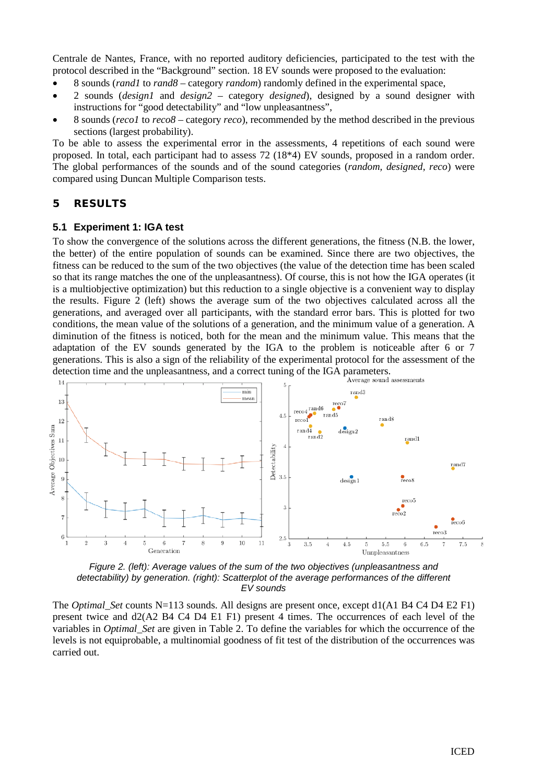Centrale de Nantes, France, with no reported auditory deficiencies, participated to the test with the protocol described in the "Background" section. 18 EV sounds were proposed to the evaluation:

- 8 sounds (*rand1* to *rand8* category *random*) randomly defined in the experimental space,
- 2 sounds (*design1* and *design2* category *designed*), designed by a sound designer with instructions for "good detectability" and "low unpleasantness",
- 8 sounds (*reco1* to *reco8* category *reco*), recommended by the method described in the previous sections (largest probability).

To be able to assess the experimental error in the assessments, 4 repetitions of each sound were proposed. In total, each participant had to assess 72 (18\*4) EV sounds, proposed in a random order. The global performances of the sounds and of the sound categories (*random, designed, reco*) were compared using Duncan Multiple Comparison tests.

## 5 RESULTS

#### **5.1 Experiment 1: IGA test**

To show the convergence of the solutions across the different generations, the fitness (N.B. the lower, the better) of the entire population of sounds can be examined. Since there are two objectives, the fitness can be reduced to the sum of the two objectives (the value of the detection time has been scaled so that its range matches the one of the unpleasantness). Of course, this is not how the IGA operates (it is a multiobjective optimization) but this reduction to a single objective is a convenient way to display the results. Figure 2 (left) shows the average sum of the two objectives calculated across all the generations, and averaged over all participants, with the standard error bars. This is plotted for two conditions, the mean value of the solutions of a generation, and the minimum value of a generation. A diminution of the fitness is noticed, both for the mean and the minimum value. This means that the adaptation of the EV sounds generated by the IGA to the problem is noticeable after 6 or 7 generations. This is also a sign of the reliability of the experimental protocol for the assessment of the detection time and the unpleasantness, and a correct tuning of the IGA parameters.



*Figure 2. (left): Average values of the sum of the two objectives (unpleasantness and detectability) by generation. (right): Scatterplot of the average performances of the different EV sounds*

The *Optimal\_Set* counts N=113 sounds. All designs are present once, except d1(A1 B4 C4 D4 E2 F1) present twice and d2(A2 B4 C4 D4 E1 F1) present 4 times. The occurrences of each level of the variables in *Optimal\_Set* are given in Table 2. To define the variables for which the occurrence of the levels is not equiprobable, a multinomial goodness of fit test of the distribution of the occurrences was carried out.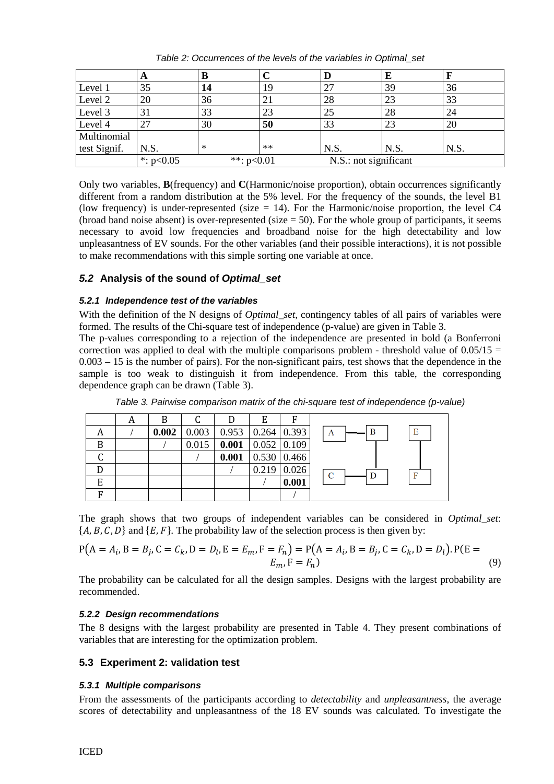|              | A                           | В      |      | D                     | E    |      |
|--------------|-----------------------------|--------|------|-----------------------|------|------|
| Level 1      | 35                          | 14     | 19   | 27                    | 39   | 36   |
| Level 2      | 20                          | 36     |      | 28                    | 23   | 33   |
| Level 3      | 31                          | 33     | 23   | 25                    | 28   | 24   |
| Level 4      | 27                          | 30     | 50   | 33                    | 23   | 20   |
| Multinomial  |                             |        |      |                       |      |      |
| test Signif. | N.S.                        | $\ast$ | $**$ | N.S.                  | N.S. | N.S. |
|              | *: $p<0.05$<br>**: $p<0.01$ |        |      | N.S.: not significant |      |      |

*Table 2: Occurrences of the levels of the variables in Optimal\_set*

Only two variables, **B**(frequency) and **C**(Harmonic/noise proportion), obtain occurrences significantly different from a random distribution at the 5% level. For the frequency of the sounds, the level B1 (low frequency) is under-represented (size  $= 14$ ). For the Harmonic/noise proportion, the level C4 (broad band noise absent) is over-represented (size  $= 50$ ). For the whole group of participants, it seems necessary to avoid low frequencies and broadband noise for the high detectability and low unpleasantness of EV sounds. For the other variables (and their possible interactions), it is not possible to make recommendations with this simple sorting one variable at once.

# *5.2* **Analysis of the sound of** *Optimal\_set*

## *5.2.1 Independence test of the variables*

With the definition of the N designs of *Optimal\_set*, contingency tables of all pairs of variables were formed. The results of the Chi-square test of independence (p-value) are given in Table 3.

The p-values corresponding to a rejection of the independence are presented in bold (a Bonferroni correction was applied to deal with the multiple comparisons problem - threshold value of  $0.05/15 =$ 0.003 – 15 is the number of pairs). For the non-significant pairs, test shows that the dependence in the sample is too weak to distinguish it from independence. From this table, the corresponding dependence graph can be drawn (Table 3).

|   | A | B     |       |                               | E                                  | F     |             |
|---|---|-------|-------|-------------------------------|------------------------------------|-------|-------------|
| А |   | 0.002 | 0.003 | $0.953 \mid 0.264 \mid 0.393$ |                                    |       | Е<br>B<br>A |
| B |   |       | 0.015 |                               | $\left  0.001 \right $ 0.052 0.109 |       |             |
|   |   |       |       | 0.001                         | $0.530 \mid 0.466$                 |       |             |
|   |   |       |       |                               | $0.219$ 0.026                      |       | F<br>C      |
| E |   |       |       |                               |                                    | 0.001 |             |
| F |   |       |       |                               |                                    |       |             |

*Table 3. Pairwise comparison matrix of the chi-square test of independence (p-value)*

The graph shows that two groups of independent variables can be considered in *Optimal\_set*:  $\{A, B, C, D\}$  and  $\{E, F\}$ . The probability law of the selection process is then given by:

$$
P(A = A_i, B = B_j, C = C_k, D = D_l, E = E_m, F = F_n) = P(A = A_i, B = B_j, C = C_k, D = D_l). P(E = E_m, F = F_n)
$$
\n(9)

The probability can be calculated for all the design samples. Designs with the largest probability are recommended.

## *5.2.2 Design recommendations*

The 8 designs with the largest probability are presented in Table 4. They present combinations of variables that are interesting for the optimization problem.

## **5.3 Experiment 2: validation test**

#### *5.3.1 Multiple comparisons*

From the assessments of the participants according to *detectability* and *unpleasantness*, the average scores of detectability and unpleasantness of the 18 EV sounds was calculated. To investigate the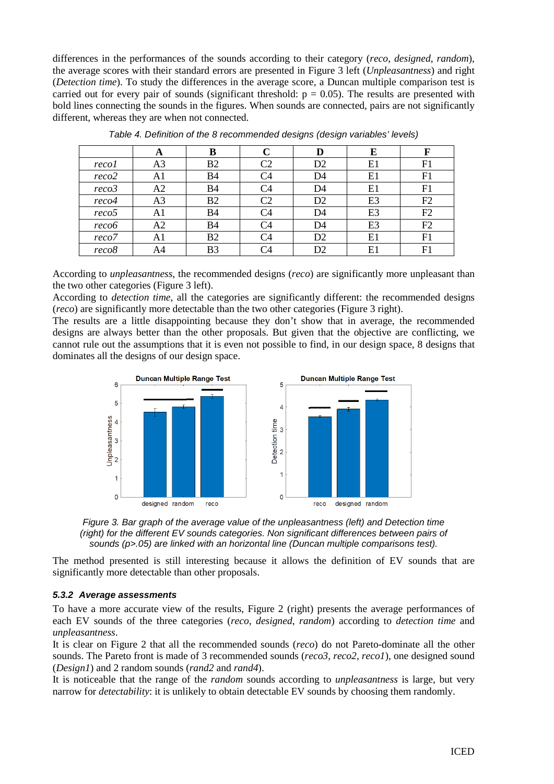differences in the performances of the sounds according to their category (*reco*, *designed*, *random*), the average scores with their standard errors are presented in Figure 3 left (*Unpleasantness*) and right (*Detection time*). To study the differences in the average score, a Duncan multiple comparison test is carried out for every pair of sounds (significant threshold:  $p = 0.05$ ). The results are presented with bold lines connecting the sounds in the figures. When sounds are connected, pairs are not significantly different, whereas they are when not connected.

|                   | A              | B              |                | D              | E              | F  |
|-------------------|----------------|----------------|----------------|----------------|----------------|----|
| recol             | A <sub>3</sub> | B <sub>2</sub> | C2             | D <sub>2</sub> | E1             | F1 |
| reco2             | A1             | <b>B4</b>      | C4             | D4             | E1             | F1 |
| reco <sub>3</sub> | A2             | B4             | C4             | D4             | E1             | F1 |
| reco4             | A <sub>3</sub> | B <sub>2</sub> | C <sub>2</sub> | D <sub>2</sub> | E3             | F2 |
| reco <sub>5</sub> | A1             | <b>B4</b>      | C4             | D4             | E <sub>3</sub> | F2 |
| reco6             | A2             | <b>B4</b>      | C4             | D4             | E <sub>3</sub> | F2 |
| reco7             | A1             | B2             | - 14           | D <sub>2</sub> | E1             | F1 |
| reco8             | A4             | B <sub>3</sub> | -4             | D <sub>2</sub> | E1             | F1 |

*Table 4. Definition of the 8 recommended designs (design variables' levels)*

According to *unpleasantness*, the recommended designs (*reco*) are significantly more unpleasant than the two other categories (Figure 3 left).

According to *detection time*, all the categories are significantly different: the recommended designs (*reco*) are significantly more detectable than the two other categories (Figure 3 right).

The results are a little disappointing because they don't show that in average, the recommended designs are always better than the other proposals. But given that the objective are conflicting, we cannot rule out the assumptions that it is even not possible to find, in our design space, 8 designs that dominates all the designs of our design space.





The method presented is still interesting because it allows the definition of EV sounds that are significantly more detectable than other proposals.

#### *5.3.2 Average assessments*

To have a more accurate view of the results, Figure 2 (right) presents the average performances of each EV sounds of the three categories (*reco*, *designed*, *random*) according to *detection time* and *unpleasantness*.

It is clear on Figure 2 that all the recommended sounds (*reco*) do not Pareto-dominate all the other sounds. The Pareto front is made of 3 recommended sounds (*reco3*, *reco2, reco1*), one designed sound (*Design1*) and 2 random sounds (*rand2* and *rand4*).

It is noticeable that the range of the *random* sounds according to *unpleasantness* is large, but very narrow for *detectability*: it is unlikely to obtain detectable EV sounds by choosing them randomly.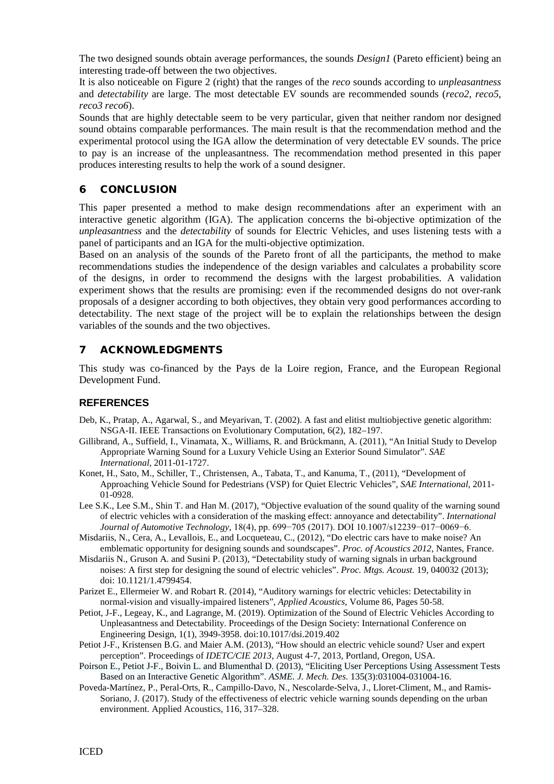The two designed sounds obtain average performances, the sounds *Design1* (Pareto efficient) being an interesting trade-off between the two objectives.

It is also noticeable on Figure 2 (right) that the ranges of the *reco* sounds according to *unpleasantness* and *detectability* are large. The most detectable EV sounds are recommended sounds (*reco2, reco5, reco3 reco6*).

Sounds that are highly detectable seem to be very particular, given that neither random nor designed sound obtains comparable performances. The main result is that the recommendation method and the experimental protocol using the IGA allow the determination of very detectable EV sounds. The price to pay is an increase of the unpleasantness. The recommendation method presented in this paper produces interesting results to help the work of a sound designer.

# 6 CONCLUSION

This paper presented a method to make design recommendations after an experiment with an interactive genetic algorithm (IGA). The application concerns the bi-objective optimization of the *unpleasantness* and the *detectability* of sounds for Electric Vehicles, and uses listening tests with a panel of participants and an IGA for the multi-objective optimization.

Based on an analysis of the sounds of the Pareto front of all the participants, the method to make recommendations studies the independence of the design variables and calculates a probability score of the designs, in order to recommend the designs with the largest probabilities. A validation experiment shows that the results are promising: even if the recommended designs do not over-rank proposals of a designer according to both objectives, they obtain very good performances according to detectability. The next stage of the project will be to explain the relationships between the design variables of the sounds and the two objectives.

# 7 ACKNOWLEDGMENTS

This study was co-financed by the Pays de la Loire region, France, and the European Regional Development Fund.

# **REFERENCES**

- Deb, K., Pratap, A., Agarwal, S., and Meyarivan, T. (2002). A fast and elitist multiobjective genetic algorithm: NSGA-II. IEEE Transactions on Evolutionary Computation, 6(2), 182–197.
- Gillibrand, A., Suffield, I., Vinamata, X., Williams, R. and Brückmann, A. (2011), "An Initial Study to Develop Appropriate Warning Sound for a Luxury Vehicle Using an Exterior Sound Simulator". *SAE International*, 2011-01-1727.
- Konet, H., Sato, M., Schiller, T., Christensen, A., Tabata, T., and Kanuma, T., (2011), "Development of Approaching Vehicle Sound for Pedestrians (VSP) for Quiet Electric Vehicles", *SAE International*, 2011- 01-0928.
- Lee S.K., Lee S.M., Shin T. and Han M. (2017), "Objective evaluation of the sound quality of the warning sound of electric vehicles with a consideration of the masking effect: annoyance and detectability". *International Journal of Automotive Technology*, 18(4), pp. 699−705 (2017). DOI 10.1007/s12239−017−0069−6.
- Misdariis, N., Cera, A., Levallois, E., and Locqueteau, C., (2012), "Do electric cars have to make noise? An emblematic opportunity for designing sounds and soundscapes". *Proc. of Acoustics 2012*, Nantes, France.
- Misdariis N., Gruson A. and Susini P. (2013), "Detectability study of warning signals in urban background noises: A first step for designing the sound of electric vehicles". *Proc. Mtgs. Acoust.* 19, 040032 (2013); doi: 10.1121/1.4799454.
- Parizet E., Ellermeier W. and Robart R. (2014), "Auditory warnings for electric vehicles: Detectability in normal-vision and visually-impaired listeners", *Applied Acoustics*, Volume 86, Pages 50-58.
- Petiot, J-F., Legeay, K., and Lagrange, M. (2019). Optimization of the Sound of Electric Vehicles According to Unpleasantness and Detectability. Proceedings of the Design Society: International Conference on Engineering Design, 1(1), 3949-3958. doi:10.1017/dsi.2019.402
- Petiot J-F., Kristensen B.G. and Maier A.M. (2013), "How should an electric vehicle sound? User and expert perception". Proceedings of *IDETC/CIE 2013*, August 4-7, 2013, Portland, Oregon, USA.
- Poirson E., Petiot J-F., Boivin L. and Blumenthal D. (2013), "Eliciting User Perceptions Using Assessment Tests Based on an Interactive Genetic Algorithm". *ASME. J. Mech. Des*. 135(3):031004-031004-16.
- Poveda-Martínez, P., Peral-Orts, R., Campillo-Davo, N., Nescolarde-Selva, J., Lloret-Climent, M., and Ramis-Soriano, J. (2017). Study of the effectiveness of electric vehicle warning sounds depending on the urban environment. Applied Acoustics, 116, 317–328.